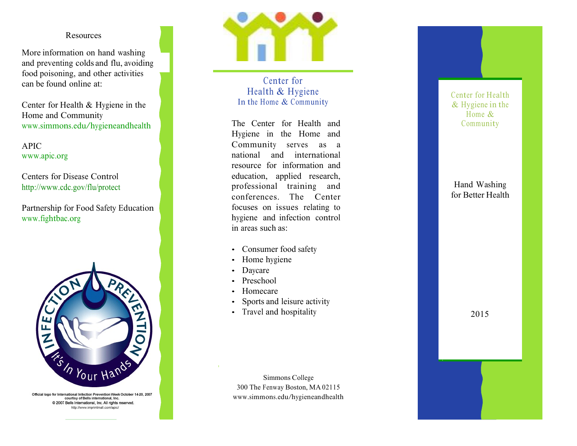## Resources

More information on hand washing and preventing colds and flu, avoiding food poisoning, and other activities can be found online at:

Center for Health & Hygiene in the Home and Community www.simmons.edu/hygieneandhealth

**APIC** www.apic.org

Centers for Disease Control http://www.cdc.gov/flu/protect

Partnership for Food Safety Education www.fightbac.org



Official logo for International Infection Prevention Week October 14-20, 2007 courtisy of Bells international, Inc. @ 2007 Bells International, Inc. All rights reserved. http://www.imprintmall.com/apic/



Center for Health & Hygiene In the Home & Community

The Center for Health and Hygiene in the Home and Community serves as a national and international resource for information and education, applied research, professional training and conferences. The Center focuses on issues relating to hygiene and infection control in areas such as:

- Consumer food safety
- Home hygiene
- Daycare
- Preschool
- Homecare
- Sports and leisure activity
- Travel and hospitality

Center for Health  $&$  Hygiene in the Home  $\&$ Community

Hand Washing for Better Health

2015

Simmons College 300 The Fenway Boston, MA 02115 www.simmons.edu/hygieneandhealth